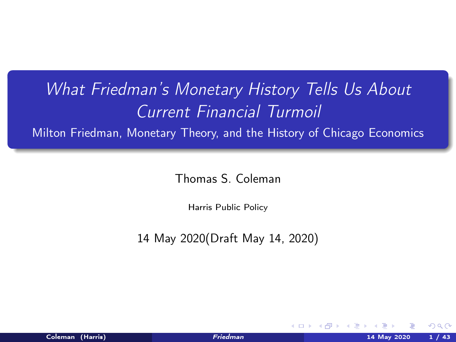# <span id="page-0-0"></span>What Friedman's Monetary History Tells Us About Current Financial Turmoil

Milton Friedman, Monetary Theory, and the History of Chicago Economics

Thomas S. Coleman

Harris Public Policy

14 May 2020(Draft May 14, 2020)

**◆ロト → 母** 

nar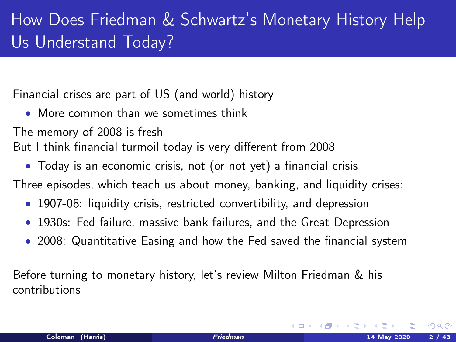# How Does Friedman & Schwartz's Monetary History Help Us Understand Today?

Financial crises are part of US (and world) history

• More common than we sometimes think

The memory of 2008 is fresh

But I think financial turmoil today is very different from 2008

• Today is an economic crisis, not (or not yet) a financial crisis

Three episodes, which teach us about money, banking, and liquidity crises:

- 1907-08: liquidity crisis, restricted convertibility, and depression
- 1930s: Fed failure, massive bank failures, and the Great Depression
- 2008: Quantitative Easing and how the Fed saved the financial system

Before turning to monetary history, let's review Milton Friedman & his contributions

 $\Omega$ 

**K ロ ▶ | K 何 ▶ | K ヨ ▶ |**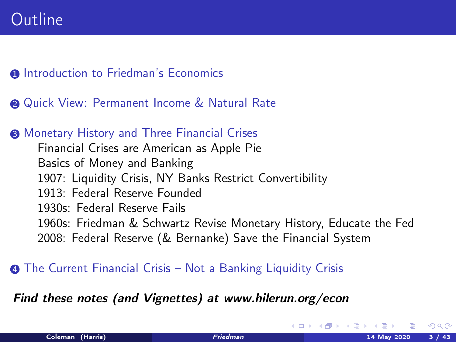- **1** [Introduction to Friedman's Economics](#page-3-0)
- **2** [Quick View: Permanent Income & Natural Rate](#page-10-0)
- <sup>3</sup> [Monetary History and Three Financial Crises](#page-13-0) [Financial Crises are American as Apple Pie](#page-13-0) [Basics of Money and Banking](#page-18-0) [1907: Liquidity Crisis, NY Banks Restrict Convertibility](#page-23-0) [1913: Federal Reserve Founded](#page-29-0) [1930s: Federal Reserve Fails](#page-31-0) [1960s: Friedman & Schwartz Revise Monetary History, Educate the Fed](#page-35-0) [2008: Federal Reserve \(& Bernanke\) Save the Financial System](#page-38-0)
- **4** [The Current Financial Crisis Not a Banking Liquidity Crisis](#page-42-0)

### Find these notes (and Vignettes) at www.hilerun.org/econ

 $\Omega$ 

**K ロ ト K 何 ト K ヨ ト K**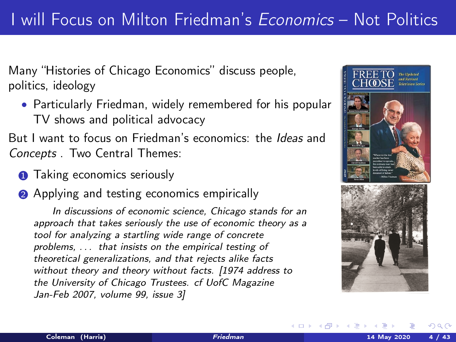<span id="page-3-0"></span>Many "Histories of Chicago Economics" discuss people, politics, ideology

• Particularly Friedman, widely remembered for his popular TV shows and political advocacy

But I want to focus on Friedman's economics: the Ideas and Concepts . Two Central Themes:

**1** Taking economics seriously

**2** Applying and testing economics empirically

In discussions of economic science, Chicago stands for an approach that takes seriously the use of economic theory as a tool for analyzing a startling wide range of concrete problems, . . . that insists on the empirical testing of theoretical generalizations, and that rejects alike facts without theory and theory without facts. [1974 address to the University of Chicago Trustees. cf UofC Magazine Jan-Feb 2007, volume 99, issue 3]



メロメ メタメ メミメン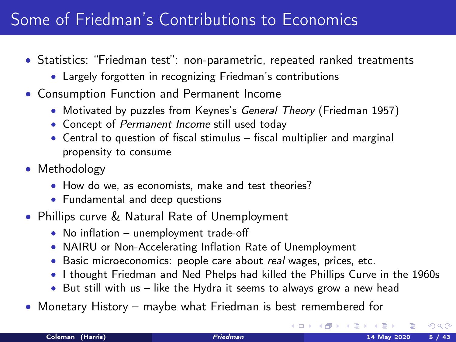### Some of Friedman's Contributions to Economics

- Statistics: "Friedman test": non-parametric, repeated ranked treatments
	- Largely forgotten in recognizing Friedman's contributions
- Consumption Function and Permanent Income
	- Motivated by puzzles from Keynes's General Theory (Friedman 1957)
	- Concept of Permanent Income still used today
	- Central to question of fiscal stimulus fiscal multiplier and marginal propensity to consume
- Methodology
	- How do we, as economists, make and test theories?
	- Fundamental and deep questions
- Phillips curve & Natural Rate of Unemployment
	- No inflation unemployment trade-off
	- NAIRU or Non-Accelerating Inflation Rate of Unemployment
	- Basic microeconomics: people care about real wages, prices, etc.
	- I thought Friedman and Ned Phelps had killed the Phillips Curve in the 1960s
	- But still with us like the Hydra it seems to always grow a new head
- Monetary History maybe what Friedman is best remembered for

 $\Omega$ 

**K ロ ト K 何 ト K ヨ ト K**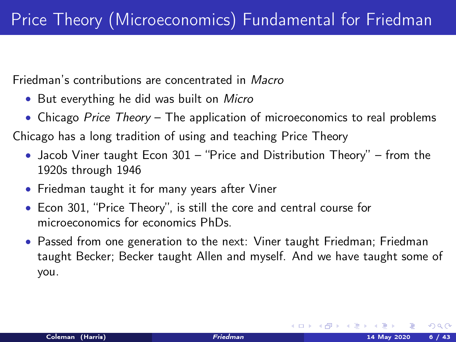Friedman's contributions are concentrated in Macro

- But everything he did was built on *Micro*
- Chicago Price Theory The application of microeconomics to real problems

Chicago has a long tradition of using and teaching Price Theory

- Jacob Viner taught Econ 301 "Price and Distribution Theory" from the 1920s through 1946
- Friedman taught it for many years after Viner
- Econ 301, "Price Theory", is still the core and central course for microeconomics for economics PhDs.
- Passed from one generation to the next: Viner taught Friedman; Friedman taught Becker; Becker taught Allen and myself. And we have taught some of you.

 $\Omega$ 

メロメ メタメ メミメ メ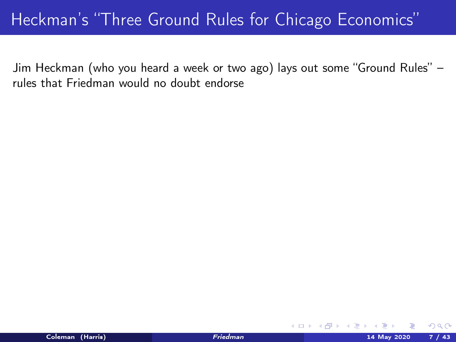### Heckman's "Three Ground Rules for Chicago Economics"

Jim Heckman (who you heard a week or two ago) lays out some "Ground Rules" – rules that Friedman would no doubt endorse

 $\Omega$ 

**K ロ ▶ | K 何 ▶ | K 日**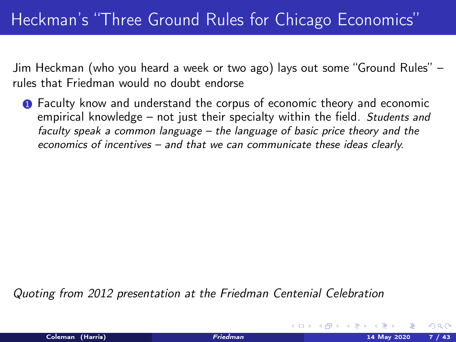Jim Heckman (who you heard a week or two ago) lays out some "Ground Rules" – rules that Friedman would no doubt endorse

**1** Faculty know and understand the corpus of economic theory and economic empirical knowledge – not just their specialty within the field. Students and faculty speak a common language – the language of basic price theory and the economics of incentives – and that we can communicate these ideas clearly.

Quoting from 2012 presentation at the Friedman Centenial Celebration

 $\Omega$ 

**K ロ ▶ | K 何 ▶ | K ヨ ▶ |**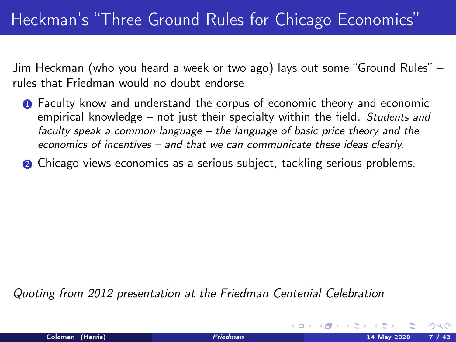Jim Heckman (who you heard a week or two ago) lays out some "Ground Rules" – rules that Friedman would no doubt endorse

- **1** Faculty know and understand the corpus of economic theory and economic empirical knowledge – not just their specialty within the field. Students and faculty speak a common language – the language of basic price theory and the economics of incentives – and that we can communicate these ideas clearly.
- <sup>2</sup> Chicago views economics as a serious subject, tackling serious problems.

Quoting from 2012 presentation at the Friedman Centenial Celebration

 $\Omega$ 

**K ロ ▶ | K 何 ▶ | K ヨ ▶ |**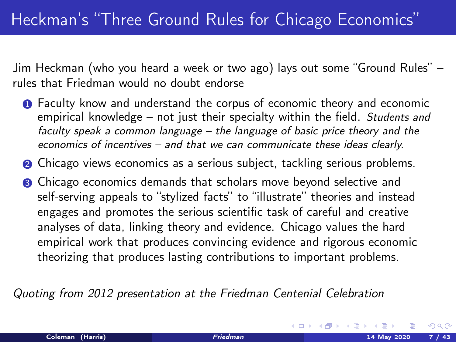Jim Heckman (who you heard a week or two ago) lays out some "Ground Rules" – rules that Friedman would no doubt endorse

- **1** Faculty know and understand the corpus of economic theory and economic empirical knowledge – not just their specialty within the field. Students and faculty speak a common language – the language of basic price theory and the economics of incentives – and that we can communicate these ideas clearly.
- <sup>2</sup> Chicago views economics as a serious subject, tackling serious problems.
- <sup>3</sup> Chicago economics demands that scholars move beyond selective and self-serving appeals to "stylized facts" to "illustrate" theories and instead engages and promotes the serious scientific task of careful and creative analyses of data, linking theory and evidence. Chicago values the hard empirical work that produces convincing evidence and rigorous economic theorizing that produces lasting contributions to important problems.

Quoting from 2012 presentation at the Friedman Centenial Celebration

 $\Omega$ 

**K Q + K 4 4 + K + C + C**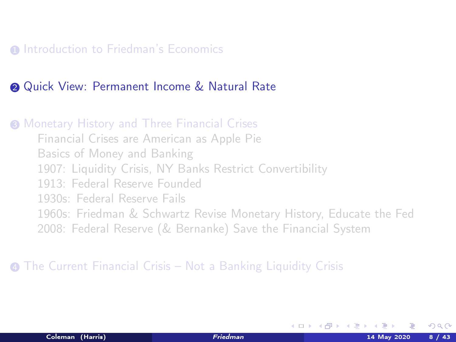<span id="page-10-0"></span>**1** [Introduction to Friedman's Economics](#page-3-0)

#### **2** [Quick View: Permanent Income & Natural Rate](#page-10-0)

**3 [Monetary History and Three Financial Crises](#page-13-0)** [Financial Crises are American as Apple Pie](#page-13-0) [Basics of Money and Banking](#page-18-0) [1907: Liquidity Crisis, NY Banks Restrict Convertibility](#page-23-0) [1913: Federal Reserve Founded](#page-29-0) [1930s: Federal Reserve Fails](#page-31-0) [1960s: Friedman & Schwartz Revise Monetary History, Educate the Fed](#page-35-0) [2008: Federal Reserve \(& Bernanke\) Save the Financial System](#page-38-0)

<sup>4</sup> [The Current Financial Crisis – Not a Banking Liquidity Crisis](#page-42-0)

イロト イ押ト イヨト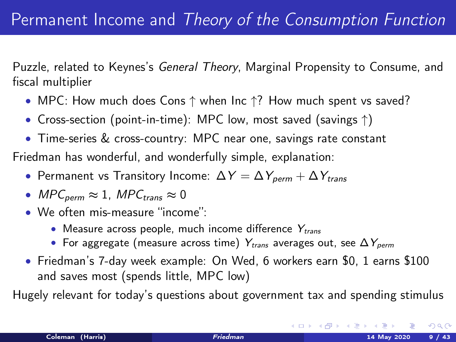Puzzle, related to Keynes's General Theory, Marginal Propensity to Consume, and fiscal multiplier

- MPC: How much does Cons ↑ when Inc ↑? How much spent vs saved?
- Cross-section (point-in-time): MPC low, most saved (savings ↑)
- Time-series & cross-country: MPC near one, savings rate constant

Friedman has wonderful, and wonderfully simple, explanation:

- Permanent vs Transitory Income:  $\Delta Y = \Delta Y_{perm} + \Delta Y_{trans}$
- MPC<sub>perm</sub>  $\approx 1$ , MPC<sub>trans</sub>  $\approx 0$
- We often mis-measure "income":
	- Measure across people, much income difference  $Y_{trans}$
	- For aggregate (measure across time)  $Y_{trans}$  averages out, see  $\Delta Y_{perm}$
- Friedman's 7-day week example: On Wed, 6 workers earn \$0, 1 earns \$100 and saves most (spends little, MPC low)

Hugely relevant for today's questions about government tax and spending stimulus

 $\Omega$ 

K ロ K K @ K K 경 K K 경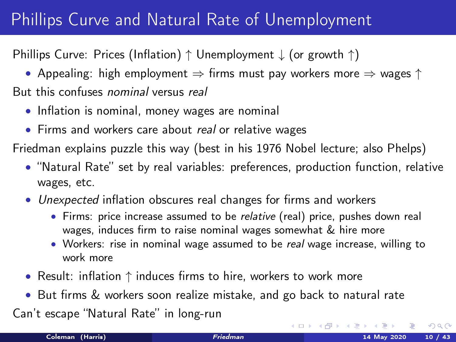# Phillips Curve and Natural Rate of Unemployment

Phillips Curve: Prices (Inflation) ↑ Unemployment ↓ (or growth ↑)

• Appealing: high employment  $\Rightarrow$  firms must pay workers more  $\Rightarrow$  wages  $\uparrow$ But this confuses nominal versus real

- Inflation is nominal, money wages are nominal
- Firms and workers care about real or relative wages

Friedman explains puzzle this way (best in his 1976 Nobel lecture; also Phelps)

- "Natural Rate" set by real variables: preferences, production function, relative wages, etc.
- Unexpected inflation obscures real changes for firms and workers
	- Firms: price increase assumed to be *relative* (real) price, pushes down real wages, induces firm to raise nominal wages somewhat & hire more
	- Workers: rise in nominal wage assumed to be real wage increase, willing to work more
- Result: inflation ↑ induces firms to hire, workers to work more
- But firms & workers soon realize mistake, and go back to natural rate

Can't escape "Natural Rate" in long-run

 $\Omega$ 

メロメ メタメ メミメ メ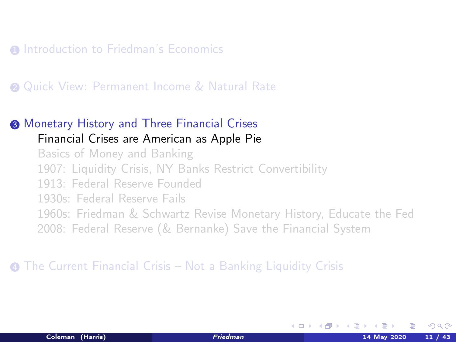<span id="page-13-0"></span>**1** [Introduction to Friedman's Economics](#page-3-0)

#### **2** [Quick View: Permanent Income & Natural Rate](#page-10-0)

### <sup>3</sup> [Monetary History and Three Financial Crises](#page-13-0)

### [Financial Crises are American as Apple Pie](#page-13-0)

[Basics of Money and Banking](#page-18-0) [1907: Liquidity Crisis, NY Banks Restrict Convertibility](#page-23-0) [1913: Federal Reserve Founded](#page-29-0) [1930s: Federal Reserve Fails](#page-31-0) [1960s: Friedman & Schwartz Revise Monetary History, Educate the Fed](#page-35-0) [2008: Federal Reserve \(& Bernanke\) Save the Financial System](#page-38-0)

#### <sup>4</sup> [The Current Financial Crisis – Not a Banking Liquidity Crisis](#page-42-0)

K ロ ▶ K 何 ▶ K 手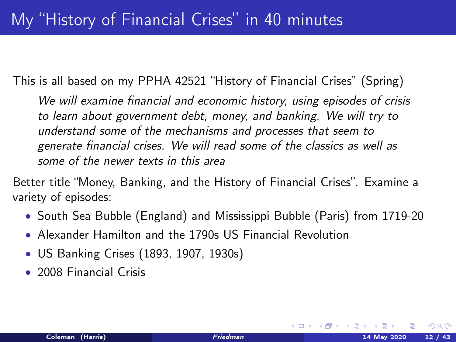This is all based on my PPHA 42521 "History of Financial Crises" (Spring)

We will examine financial and economic history, using episodes of crisis to learn about government debt, money, and banking. We will try to understand some of the mechanisms and processes that seem to generate financial crises. We will read some of the classics as well as some of the newer texts in this area

Better title "Money, Banking, and the History of Financial Crises". Examine a variety of episodes:

- South Sea Bubble (England) and Mississippi Bubble (Paris) from 1719-20
- Alexander Hamilton and the 1790s US Financial Revolution
- US Banking Crises (1893, 1907, 1930s)
- 2008 Financial Crisis

 $\Omega$ 

**K ロ ▶ | K 何 ▶ | K ヨ ▶ | K**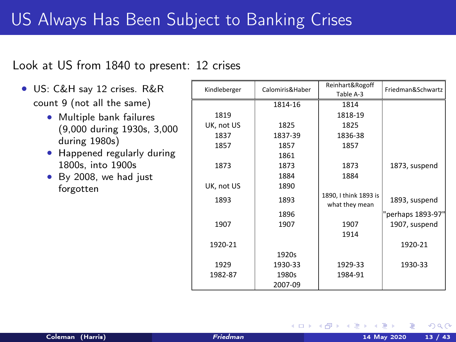### US Always Has Been Subject to Banking Crises

#### Look at US from 1840 to present: 12 crises

- US: C&H say 12 crises. R&R count 9 (not all the same)
	- Multiple bank failures (9,000 during 1930s, 3,000 during 1980s)
	- Happened regularly during 1800s, into 1900s
	- By 2008, we had just forgotten

| Kindleberger | Calomiris&Haber | Reinhart&Rogoff       | Friedman&Schwartz |
|--------------|-----------------|-----------------------|-------------------|
|              |                 | Table A-3             |                   |
|              | 1814-16         | 1814                  |                   |
| 1819         |                 | 1818-19               |                   |
| UK, not US   | 1825            | 1825                  |                   |
| 1837         | 1837-39         | 1836-38               |                   |
| 1857         | 1857            | 1857                  |                   |
|              | 1861            |                       |                   |
| 1873         | 1873            | 1873                  | 1873, suspend     |
|              | 1884            | 1884                  |                   |
| UK, not US   | 1890            |                       |                   |
| 1893         | 1893            | 1890, I think 1893 is | 1893, suspend     |
|              |                 | what they mean        |                   |
|              | 1896            |                       | "perhaps 1893-97" |
| 1907         | 1907            | 1907                  | 1907, suspend     |
|              |                 | 1914                  |                   |
| 1920-21      |                 |                       | 1920-21           |
|              | 1920s           |                       |                   |
| 1929         | 1930-33         | 1929-33               | 1930-33           |
| 1982-87      | 1980s           | 1984-91               |                   |
|              | 2007-09         |                       |                   |

**K ロ ▶ K 何 ▶ K 手**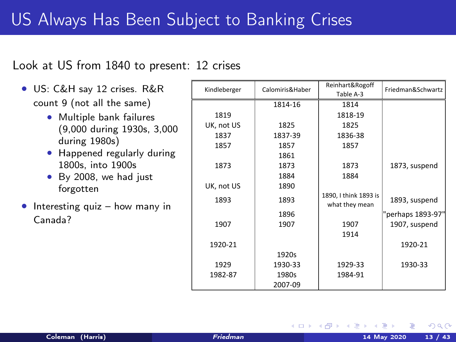### US Always Has Been Subject to Banking Crises

#### Look at US from 1840 to present: 12 crises

- US: C&H say 12 crises. R&R count 9 (not all the same)
	- Multiple bank failures (9,000 during 1930s, 3,000 during 1980s)
	- Happened regularly during 1800s, into 1900s
	- By 2008, we had just forgotten
- Interesting quiz  $-$  how many in Canada?

| Kindleberger | Calomiris&Haber | Reinhart&Rogoff       | Friedman&Schwartz |
|--------------|-----------------|-----------------------|-------------------|
|              |                 | Table A-3             |                   |
|              | 1814-16         | 1814                  |                   |
| 1819         |                 | 1818-19               |                   |
| UK, not US   | 1825            | 1825                  |                   |
| 1837         | 1837-39         | 1836-38               |                   |
| 1857         | 1857            | 1857                  |                   |
|              | 1861            |                       |                   |
| 1873         | 1873            | 1873                  | 1873, suspend     |
|              | 1884            | 1884                  |                   |
| UK, not US   | 1890            |                       |                   |
| 1893         | 1893            | 1890, I think 1893 is | 1893, suspend     |
|              |                 | what they mean        |                   |
|              | 1896            |                       | "perhaps 1893-97' |
| 1907         | 1907            | 1907                  | 1907, suspend     |
|              |                 | 1914                  |                   |
| 1920-21      |                 |                       | 1920-21           |
|              | 1920s           |                       |                   |
| 1929         | 1930-33         | 1929-33               | 1930-33           |
| 1982-87      | 1980s           | 1984-91               |                   |
|              | 2007-09         |                       |                   |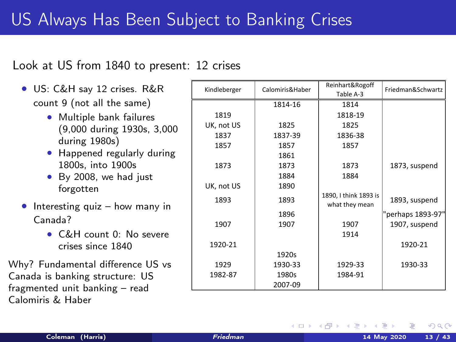### US Always Has Been Subject to Banking Crises

#### Look at US from 1840 to present: 12 crises

- US: C&H say 12 crises. R&R count 9 (not all the same)
	- Multiple bank failures (9,000 during 1930s, 3,000 during 1980s)
	- Happened regularly during 1800s, into 1900s
	- By 2008, we had just forgotten
- Interesting quiz  $-$  how many in Canada?
	- C&H count 0: No severe crises since 1840

Why? Fundamental difference US vs Canada is banking structure: US fragmented unit banking – read Calomiris & Haber

| Kindleberger | Calomiris&Haber | Reinhart&Rogoff<br>Table A-3            | Friedman&Schwartz |
|--------------|-----------------|-----------------------------------------|-------------------|
|              | 1814-16         | 1814                                    |                   |
| 1819         |                 | 1818-19                                 |                   |
| UK, not US   | 1825            | 1825                                    |                   |
| 1837         | 1837-39         | 1836-38                                 |                   |
| 1857         | 1857            | 1857                                    |                   |
|              | 1861            |                                         |                   |
| 1873         | 1873            | 1873                                    | 1873, suspend     |
|              | 1884            | 1884                                    |                   |
| UK, not US   | 1890            |                                         |                   |
| 1893         | 1893            | 1890, I think 1893 is<br>what they mean | 1893, suspend     |
|              | 1896            |                                         | "perhaps 1893-97" |
| 1907         | 1907            | 1907                                    | 1907, suspend     |
|              |                 | 1914                                    |                   |
| 1920-21      |                 |                                         | 1920-21           |
|              | 1920s           |                                         |                   |
| 1929         | 1930-33         | 1929-33                                 | 1930-33           |
| 1982-87      | 1980s           | 1984-91                                 |                   |
|              | 2007-09         |                                         |                   |

K ロ ▶ K 何 ▶ K 手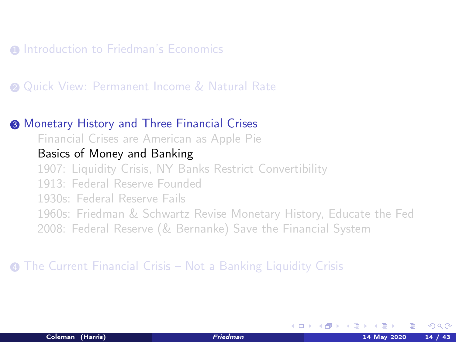<span id="page-18-0"></span>**1** [Introduction to Friedman's Economics](#page-3-0)

**2** [Quick View: Permanent Income & Natural Rate](#page-10-0)

#### <sup>3</sup> [Monetary History and Three Financial Crises](#page-13-0)

[Financial Crises are American as Apple Pie](#page-13-0)

### [Basics of Money and Banking](#page-18-0)

[1907: Liquidity Crisis, NY Banks Restrict Convertibility](#page-23-0) [1913: Federal Reserve Founded](#page-29-0) [1930s: Federal Reserve Fails](#page-31-0) [1960s: Friedman & Schwartz Revise Monetary History, Educate the Fed](#page-35-0) [2008: Federal Reserve \(& Bernanke\) Save the Financial System](#page-38-0)

#### <sup>4</sup> [The Current Financial Crisis – Not a Banking Liquidity Crisis](#page-42-0)

K ロ ▶ K 何 ▶ K 手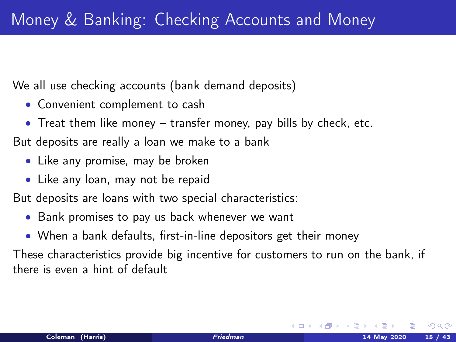We all use checking accounts (bank demand deposits)

- Convenient complement to cash
- Treat them like money transfer money, pay bills by check, etc.

But deposits are really a loan we make to a bank

- Like any promise, may be broken
- Like any loan, may not be repaid

But deposits are loans with two special characteristics:

- Bank promises to pay us back whenever we want
- When a bank defaults, first-in-line depositors get their money

These characteristics provide big incentive for customers to run on the bank, if there is even a hint of default

K ロ ▶ K 何 ▶ K 급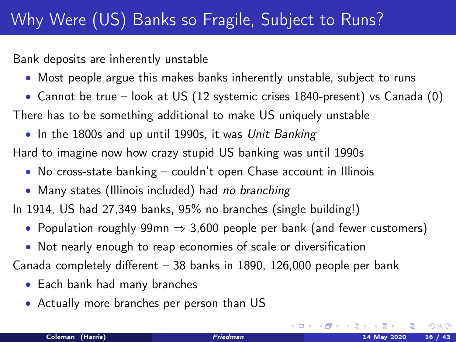Bank deposits are inherently unstable

- Most people argue this makes banks inherently unstable, subject to runs
- Cannot be true look at US (12 systemic crises 1840-present) vs Canada (0) There has to be something additional to make US uniquely unstable
- In the 1800s and up until 1990s, it was Unit Banking Hard to imagine now how crazy stupid US banking was until 1990s
	- No cross-state banking couldn't open Chase account in Illinois
	- Many states (Illinois included) had no branching

In 1914, US had 27,349 banks, 95% no branches (single building!)

- Population roughly 99mn  $\Rightarrow$  3,600 people per bank (and fewer customers)
- Not nearly enough to reap economies of scale or diversification

Canada completely different – 38 banks in 1890, 126,000 people per bank

- Each bank had many branches
- Actually more branches per person than US

 $\Omega$ 

**K ロ ト K 何 ト K ヨ ト**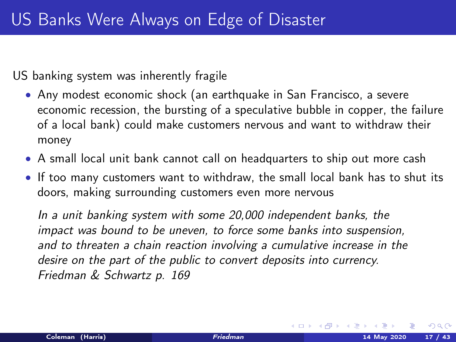US banking system was inherently fragile

- Any modest economic shock (an earthquake in San Francisco, a severe economic recession, the bursting of a speculative bubble in copper, the failure of a local bank) could make customers nervous and want to withdraw their money
- A small local unit bank cannot call on headquarters to ship out more cash
- If too many customers want to withdraw, the small local bank has to shut its doors, making surrounding customers even more nervous

In a unit banking system with some 20,000 independent banks, the impact was bound to be uneven, to force some banks into suspension, and to threaten a chain reaction involving a cumulative increase in the desire on the part of the public to convert deposits into currency. Friedman & Schwartz p. 169

**K ロ ▶ | K 伺 ▶ | K ヨ ▶ |**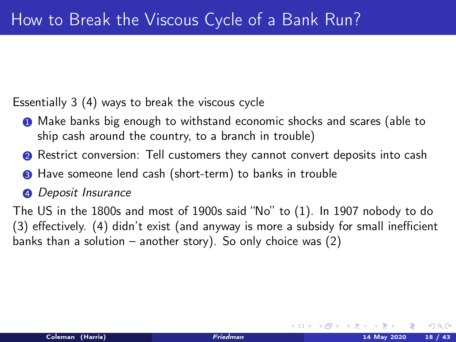Essentially 3 (4) ways to break the viscous cycle

- **1** Make banks big enough to withstand economic shocks and scares (able to ship cash around the country, to a branch in trouble)
- **2** Restrict conversion: Tell customers they cannot convert deposits into cash
- **3** Have someone lend cash (short-term) to banks in trouble
- **4** Deposit Insurance

The US in the 1800s and most of 1900s said "No" to (1). In 1907 nobody to do (3) effectively. (4) didn't exist (and anyway is more a subsidy for small inefficient banks than a solution – another story). So only choice was (2)

 $\Omega$ 

**K ロ ト K 何 ト K ヨ ト K**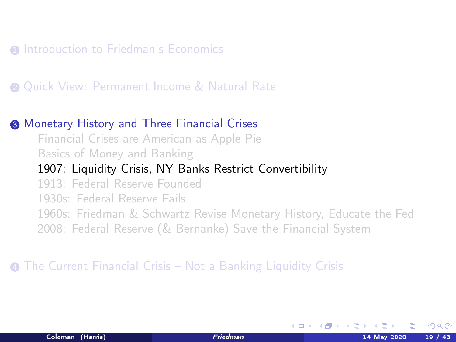#### <span id="page-23-0"></span>**1** [Introduction to Friedman's Economics](#page-3-0)

#### **2** [Quick View: Permanent Income & Natural Rate](#page-10-0)

#### <sup>3</sup> [Monetary History and Three Financial Crises](#page-13-0)

[Financial Crises are American as Apple Pie](#page-13-0) [Basics of Money and Banking](#page-18-0)

#### [1907: Liquidity Crisis, NY Banks Restrict Convertibility](#page-23-0)

[1913: Federal Reserve Founded](#page-29-0)

[1930s: Federal Reserve Fails](#page-31-0)

[1960s: Friedman & Schwartz Revise Monetary History, Educate the Fed](#page-35-0)

[2008: Federal Reserve \(& Bernanke\) Save the Financial System](#page-38-0)

#### <sup>4</sup> [The Current Financial Crisis – Not a Banking Liquidity Crisis](#page-42-0)

K ロ ▶ K 何 ▶ K 手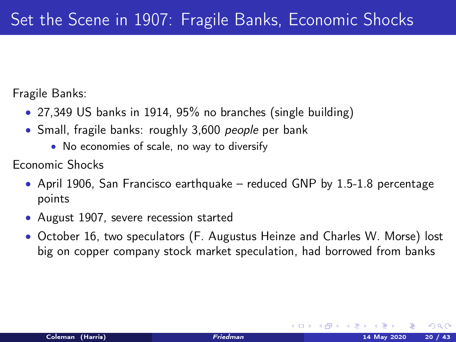Fragile Banks:

- 27,349 US banks in 1914, 95% no branches (single building)
- Small, fragile banks: roughly 3,600 people per bank
	- No economies of scale, no way to diversify

Economic Shocks

- April 1906, San Francisco earthquake reduced GNP by  $1.5-1.8$  percentage points
- August 1907, severe recession started
- October 16, two speculators (F. Augustus Heinze and Charles W. Morse) lost big on copper company stock market speculation, had borrowed from banks

 $\Omega$ 

イロト イ押ト イヨト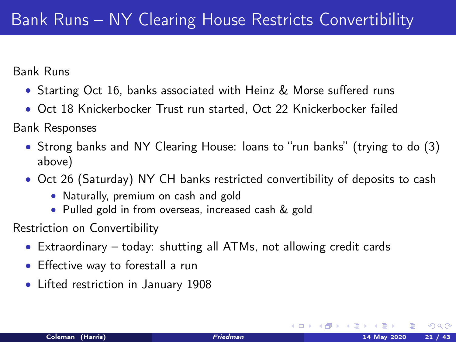Bank Runs

- Starting Oct 16, banks associated with Heinz & Morse suffered runs
- Oct 18 Knickerbocker Trust run started, Oct 22 Knickerbocker failed

Bank Responses

- Strong banks and NY Clearing House: loans to "run banks" (trying to do (3) above)
- Oct 26 (Saturday) NY CH banks restricted convertibility of deposits to cash
	- Naturally, premium on cash and gold
	- Pulled gold in from overseas, increased cash & gold

Restriction on Convertibility

- Extraordinary today: shutting all ATMs, not allowing credit cards
- Effective way to forestall a run
- Lifted restriction in January 1908

 $\Omega$ 

**K ロ ▶ | K 伺 ▶ | K ヨ ▶ |**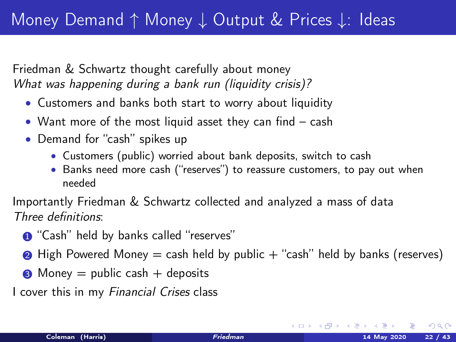Friedman & Schwartz thought carefully about money What was happening during a bank run (liquidity crisis)?

- Customers and banks both start to worry about liquidity
- Want more of the most liquid asset they can find cash
- Demand for "cash" spikes up
	- Customers (public) worried about bank deposits, switch to cash
	- Banks need more cash ("reserves") to reassure customers, to pay out when needed

Importantly Friedman & Schwartz collected and analyzed a mass of data Three definitions:

- **1** "Cash" held by banks called "reserves"
- $\bullet$  High Powered Money = cash held by public  $+$  "cash" held by banks (reserves)
- $\odot$  Money = public cash + deposits

I cover this in my Financial Crises class

 $\Omega$ 

**K ロ ト K 何 ト K ヨ ト K**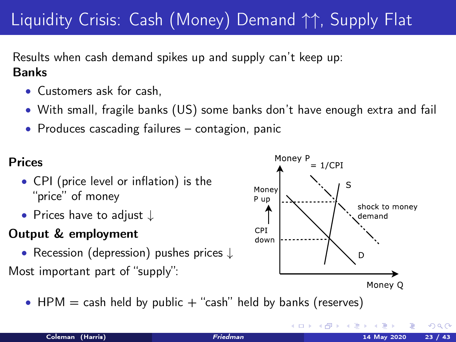# Liquidity Crisis: Cash (Money) Demand ↑↑, Supply Flat

Results when cash demand spikes up and supply can't keep up: Banks

- Customers ask for cash,
- With small, fragile banks (US) some banks don't have enough extra and fail
- Produces cascading failures contagion, panic

### Prices

- CPI (price level or inflation) is the "price" of money
- Prices have to adjust ↓

### Output & employment

• Recession (depression) pushes prices ↓

Most important part of "supply":

• HPM  $=$  cash held by public  $+$  "cash" held by banks (reserves)



**◆ロト → 母**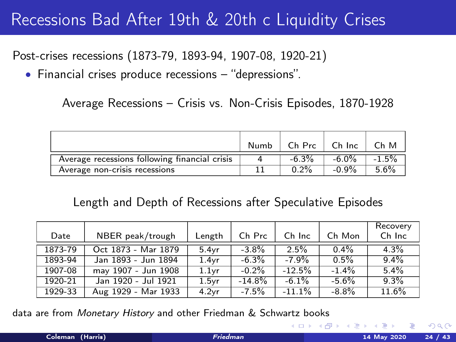### Recessions Bad After 19th & 20th c Liquidity Crises

Post-crises recessions (1873-79, 1893-94, 1907-08, 1920-21)

• Financial crises produce recessions – "depressions".

Average Recessions – Crisis vs. Non-Crisis Episodes, 1870-1928

|                                               | Numb | Ch Prc   | Ch Inc   | Ch M     |
|-----------------------------------------------|------|----------|----------|----------|
| Average recessions following financial crisis |      | $-6.3\%$ | $-6.0\%$ | $-1.5\%$ |
| Average non-crisis recessions                 |      | $0.2\%$  | $-0.9%$  | 5.6%     |

#### Length and Depth of Recessions after Speculative Episodes

| Date    | NBER peak/trough    | Length            | Ch Prc   | Ch Inc   | Ch Mon   | Recovery<br>Ch Inc |
|---------|---------------------|-------------------|----------|----------|----------|--------------------|
| 1873-79 | Oct 1873 - Mar 1879 | 5.4vr             | $-3.8\%$ | 2.5%     | $0.4\%$  | 4.3%               |
| 1893-94 | Jan 1893 - Jun 1894 | 1.4vr             | $-6.3\%$ | $-7.9%$  | $0.5\%$  | $9.4\%$            |
| 1907-08 | may 1907 - Jun 1908 | 1.1vr             | $-0.2%$  | $-12.5%$ | $-1.4\%$ | 5.4%               |
| 1920-21 | Jan 1920 - Jul 1921 | 1.5 <sub>vr</sub> | $-14.8%$ | $-6.1%$  | $-5.6%$  | 9.3%               |
| 1929-33 | Aug 1929 - Mar 1933 | 4.2 <sub>vr</sub> | $-7.5%$  | $-11.1%$ | $-8.8\%$ | 11.6%              |

data are from Monetary History and other Friedman & Schwartz books

 $\Omega$ 

**K ロ ト K 何 ト K 目**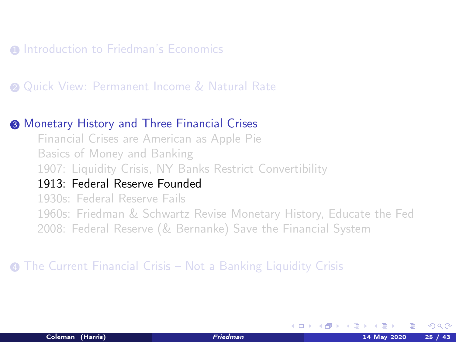#### <span id="page-29-0"></span>**1** [Introduction to Friedman's Economics](#page-3-0)

#### **2** [Quick View: Permanent Income & Natural Rate](#page-10-0)

#### <sup>3</sup> [Monetary History and Three Financial Crises](#page-13-0)

[Financial Crises are American as Apple Pie](#page-13-0) [Basics of Money and Banking](#page-18-0) [1907: Liquidity Crisis, NY Banks Restrict Convertibility](#page-23-0)

### [1913: Federal Reserve Founded](#page-29-0)

[1930s: Federal Reserve Fails](#page-31-0) [1960s: Friedman & Schwartz Revise Monetary History, Educate the Fed](#page-35-0) [2008: Federal Reserve \(& Bernanke\) Save the Financial System](#page-38-0)

#### <sup>4</sup> [The Current Financial Crisis – Not a Banking Liquidity Crisis](#page-42-0)

K ロ ▶ K 何 ▶ K 手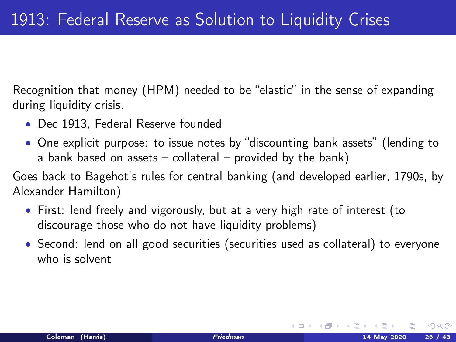Recognition that money (HPM) needed to be "elastic" in the sense of expanding during liquidity crisis.

- Dec 1913, Federal Reserve founded
- One explicit purpose: to issue notes by "discounting bank assets" (lending to a bank based on assets – collateral – provided by the bank)

Goes back to Bagehot's rules for central banking (and developed earlier, 1790s, by Alexander Hamilton)

- First: lend freely and vigorously, but at a very high rate of interest (to discourage those who do not have liquidity problems)
- Second: lend on all good securities (securities used as collateral) to everyone who is solvent

 $\Omega$ 

 $A \Box B$   $A \Box B$   $A \Box B$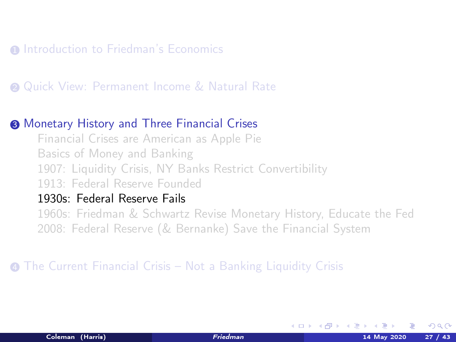#### <span id="page-31-0"></span>**1** [Introduction to Friedman's Economics](#page-3-0)

#### **2** [Quick View: Permanent Income & Natural Rate](#page-10-0)

#### <sup>3</sup> [Monetary History and Three Financial Crises](#page-13-0)

[Financial Crises are American as Apple Pie](#page-13-0) [Basics of Money and Banking](#page-18-0) [1907: Liquidity Crisis, NY Banks Restrict Convertibility](#page-23-0) [1913: Federal Reserve Founded](#page-29-0)

#### [1930s: Federal Reserve Fails](#page-31-0)

[1960s: Friedman & Schwartz Revise Monetary History, Educate the Fed](#page-35-0) [2008: Federal Reserve \(& Bernanke\) Save the Financial System](#page-38-0)

#### <sup>4</sup> [The Current Financial Crisis – Not a Banking Liquidity Crisis](#page-42-0)

K ロ ▶ K 何 ▶ K 手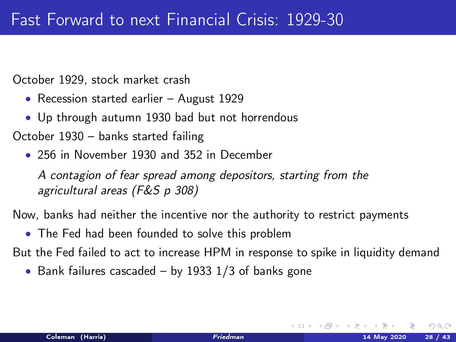October 1929, stock market crash

- Recession started earlier August 1929
- Up through autumn 1930 bad but not horrendous

October 1930 – banks started failing

• 256 in November 1930 and 352 in December

A contagion of fear spread among depositors, starting from the agricultural areas (F&S p 308)

Now, banks had neither the incentive nor the authority to restrict payments

• The Fed had been founded to solve this problem

But the Fed failed to act to increase HPM in response to spike in liquidity demand

• Bank failures cascaded – by 1933 1/3 of banks gone

イロト イ押ト イヨト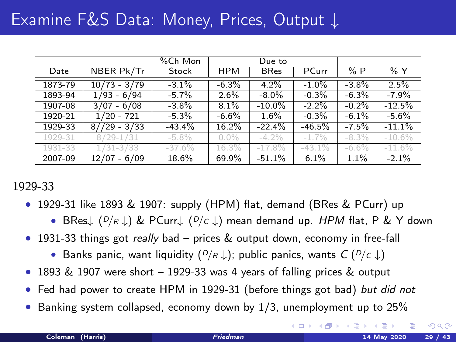|         |                | %Ch Mon  |            | Due to      |          |          |           |
|---------|----------------|----------|------------|-------------|----------|----------|-----------|
| Date    | NBER Pk/Tr     | Stock    | <b>HPM</b> | <b>BRes</b> | PCurr    | %P       | $\%$ Y    |
| 1873-79 | $10/73 - 3/79$ | $-3.1%$  | $-6.3%$    | 4.2%        | $-1.0%$  | $-3.8%$  | 2.5%      |
| 1893-94 | $1/93 - 6/94$  | $-5.7\%$ | 2.6%       | $-8.0\%$    | $-0.3%$  | $-6.3%$  | $-7.9%$   |
| 1907-08 | $3/07 - 6/08$  | $-3.8\%$ | 8.1%       | $-10.0\%$   | $-2.2%$  | $-0.2%$  | $-12.5%$  |
| 1920-21 | $1/20 - 721$   | $-5.3%$  | $-6.6%$    | 1.6%        | $-0.3%$  | $-6.1%$  | $-5.6%$   |
| 1929-33 | $8//29 - 3/33$ | $-43.4%$ | 16.2%      | $-22.4%$    | $-46.5%$ | $-7.5%$  | $-11.1%$  |
| 1929-31 | $8/29 - 1/31$  | $-5.8\%$ | $0.0\%$    | $-4.2\%$    | $-1.7%$  | $-8.3\%$ | $-10.6\%$ |
| 1931-33 | $1/31 - 3/33$  | $-37.6%$ | 16.3%      | $-17.8%$    | $-43.1%$ | $-6.6\%$ | $-11.6%$  |
| 2007-09 | $12/07 - 6/09$ | 18.6%    | 69.9%      | $-51.1%$    | 6.1%     | 1.1%     | $-2.1%$   |

1929-33

- 1929-31 like 1893 & 1907: supply (HPM) flat, demand (BRes & PCurr) up
	- BRes↓  $(P/R \downarrow)$  & PCurr $\downarrow$   $(P/c \downarrow)$  mean demand up. HPM flat, P & Y down
- 1931-33 things got *really* bad prices & output down, economy in free-fall
	- Banks panic, want liquidity  $(P/R \downarrow)$ ; public panics, wants  $C(P/c \downarrow)$
- 1893 & 1907 were short 1929-33 was 4 years of falling prices & output
- Fed had power to create HPM in 1929-31 (before things got bad) but did not
- Banking system collapsed, economy down by 1/3, unemployment up to 25%

 $\Omega$ 

**K ロ ト K 御 ト K 君 ト**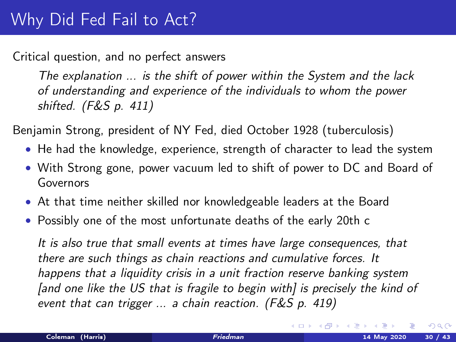Critical question, and no perfect answers

The explanation ... is the shift of power within the System and the lack of understanding and experience of the individuals to whom the power shifted. (F&S p. 411)

Benjamin Strong, president of NY Fed, died October 1928 (tuberculosis)

- He had the knowledge, experience, strength of character to lead the system
- With Strong gone, power vacuum led to shift of power to DC and Board of Governors
- At that time neither skilled nor knowledgeable leaders at the Board
- Possibly one of the most unfortunate deaths of the early 20th c

It is also true that small events at times have large consequences, that there are such things as chain reactions and cumulative forces. It happens that a liquidity crisis in a unit fraction reserve banking system [and one like the US that is fragile to begin with] is precisely the kind of event that can trigger ... a chain reaction. (F&S p. 419)

 $\Omega$ 

 $\left\{ \begin{array}{ccc} 1 & 0 & 0 \\ 0 & 1 & 0 \end{array} \right.$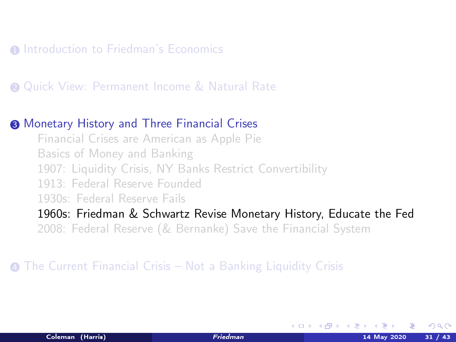#### <span id="page-35-0"></span>**1** [Introduction to Friedman's Economics](#page-3-0)

#### **2** [Quick View: Permanent Income & Natural Rate](#page-10-0)

#### <sup>3</sup> [Monetary History and Three Financial Crises](#page-13-0)

[Financial Crises are American as Apple Pie](#page-13-0) [Basics of Money and Banking](#page-18-0) [1907: Liquidity Crisis, NY Banks Restrict Convertibility](#page-23-0) [1913: Federal Reserve Founded](#page-29-0) [1930s: Federal Reserve Fails](#page-31-0)

[1960s: Friedman & Schwartz Revise Monetary History, Educate the Fed](#page-35-0)

[2008: Federal Reserve \(& Bernanke\) Save the Financial System](#page-38-0)

<sup>4</sup> [The Current Financial Crisis – Not a Banking Liquidity Crisis](#page-42-0)

K ロ ▶ K 何 ▶ K 手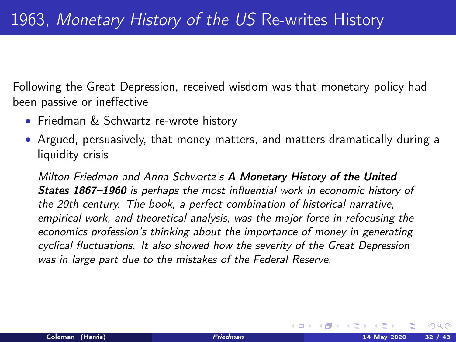Following the Great Depression, received wisdom was that monetary policy had been passive or ineffective

- Friedman & Schwartz re-wrote history
- Argued, persuasively, that money matters, and matters dramatically during a liquidity crisis

Milton Friedman and Anna Schwartz's A Monetary History of the United States 1867–1960 is perhaps the most influential work in economic history of the 20th century. The book, a perfect combination of historical narrative, empirical work, and theoretical analysis, was the major force in refocusing the economics profession's thinking about the importance of money in generating cyclical fluctuations. It also showed how the severity of the Great Depression was in large part due to the mistakes of the Federal Reserve.

 $\Omega$ 

**K ロ ▶ | K 伺 ▶ | K ヨ ▶ |**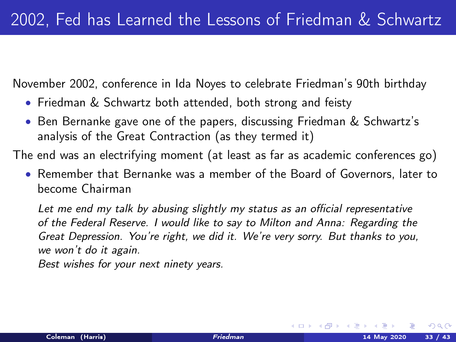<span id="page-37-0"></span>November 2002, conference in Ida Noyes to celebrate Friedman's 90th birthday

- Friedman & Schwartz both attended, both strong and feisty
- Ben Bernanke gave one of the papers, discussing Friedman & Schwartz's analysis of the Great Contraction (as they termed it)

The end was an electrifying moment (at least as far as academic conferences go)

• Remember that Bernanke was a member of the Board of Governors, later to become Chairman

Let me end my talk by abusing slightly my status as an official representative of the Federal Reserve. I would like to say to Milton and Anna: Regarding the Great Depression. You're right, we did it. We're very sorry. But thanks to you, we won't do it again.

Best wishes for your next ninety years.

 $\Omega$ 

**K ロ ト K 何 ト K ヨ ト K**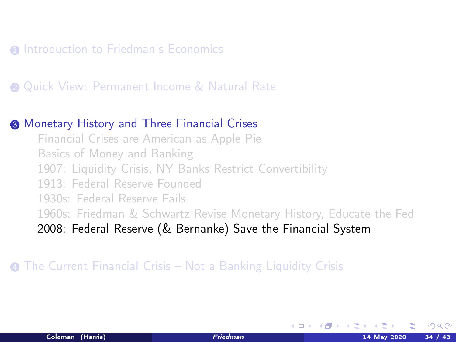#### <span id="page-38-0"></span>**1** [Introduction to Friedman's Economics](#page-3-0)

#### **2** [Quick View: Permanent Income & Natural Rate](#page-10-0)

#### <sup>3</sup> [Monetary History and Three Financial Crises](#page-13-0)

[Financial Crises are American as Apple Pie](#page-13-0) [Basics of Money and Banking](#page-18-0) [1907: Liquidity Crisis, NY Banks Restrict Convertibility](#page-23-0) [1913: Federal Reserve Founded](#page-29-0) [1930s: Federal Reserve Fails](#page-31-0) [1960s: Friedman & Schwartz Revise Monetary History, Educate the Fed](#page-35-0) [2008: Federal Reserve \(& Bernanke\) Save the Financial System](#page-38-0)

#### <sup>4</sup> [The Current Financial Crisis – Not a Banking Liquidity Crisis](#page-42-0)

K ロ ▶ K 何 ▶ K 手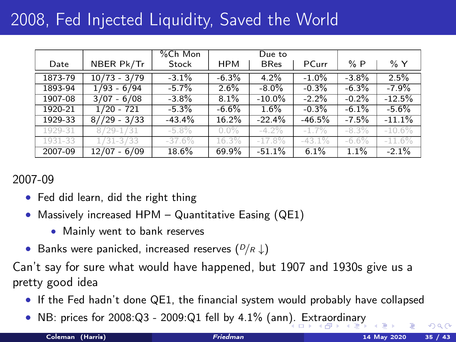## <span id="page-39-0"></span>2008, Fed Injected Liquidity, Saved the World

|         |                | %Ch Mon  |            | Due to      |          |          |          |
|---------|----------------|----------|------------|-------------|----------|----------|----------|
| Date    | NBER Pk/Tr     | Stock    | <b>HPM</b> | <b>BRes</b> | PCurr    | %P       | % Y      |
| 1873-79 | $10/73 - 3/79$ | $-3.1%$  | $-6.3%$    | 4.2%        | $-1.0%$  | $-3.8%$  | 2.5%     |
| 1893-94 | $1/93 - 6/94$  | $-5.7%$  | $2.6\%$    | $-8.0\%$    | $-0.3%$  | $-6.3%$  | $-7.9%$  |
| 1907-08 | $3/07 - 6/08$  | $-3.8\%$ | 8.1%       | $-10.0\%$   | $-2.2%$  | $-0.2%$  | $-12.5%$ |
| 1920-21 | $1/20 - 721$   | $-5.3\%$ | $-6.6%$    | 1.6%        | $-0.3%$  | $-6.1%$  | $-5.6\%$ |
| 1929-33 | $8//29 - 3/33$ | $-43.4%$ | 16.2%      | $-22.4%$    | $-46.5%$ | $-7.5%$  | $-11.1%$ |
| 1929-31 | $8/29 - 1/31$  | $-5.8\%$ | $0.0\%$    | $-4.2\%$    | $-1.7%$  | $-8.3\%$ | $-10.6%$ |
| 1931-33 | $1/31 - 3/33$  | $-37.6%$ | 16.3%      | $-17.8%$    | $-43.1%$ | $-6.6\%$ | $-11.6%$ |
| 2007-09 | $12/07 - 6/09$ | 18.6%    | 69.9%      | $-51.1%$    | 6.1%     | 1.1%     | $-2.1\%$ |

#### 2007-09

- Fed did learn, did the right thing
- Massively increased HPM Quantitative Easing (QE1)
	- Mainly went to bank reserves
- Banks were panicked, increased reserves  $(P/R \downarrow)$

Can't say for sure what would have happened, but 1907 and 1930s give us a pretty good idea

- If the Fed hadn't done QE1, the financial system would probably have collapsed
- NB: prices for 2008:Q3 2009:Q1 fell by 4.1% (an[n\).](#page-38-0) [Ext](#page-40-0)[r](#page-38-0)[aor](#page-39-0)[d](#page-40-0)[in](#page-37-0)[a](#page-38-0)[ry](#page-41-0)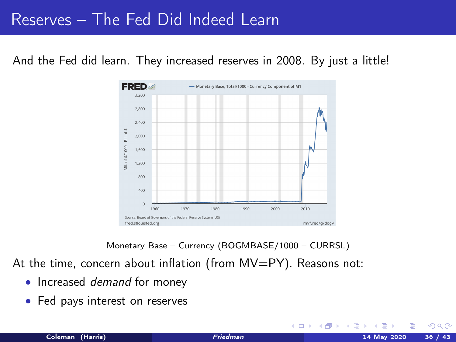### <span id="page-40-0"></span>Reserves – The Fed Did Indeed Learn

And the Fed did learn. They increased reserves in 2008. By just a little!



Monetary Base – Currency (BOGMBASE/1000 – CURRSL)

At the time, concern about inflation (from MV=PY). Reasons not:

- Increased *demand* for money
- Fed pays interest on reserves

 $\Omega$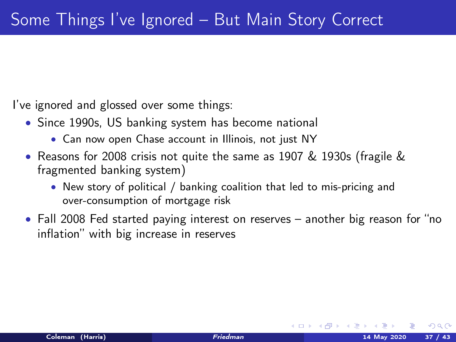<span id="page-41-0"></span>I've ignored and glossed over some things:

- Since 1990s, US banking system has become national
	- Can now open Chase account in Illinois, not just NY
- Reasons for 2008 crisis not quite the same as 1907 & 1930s (fragile & fragmented banking system)
	- New story of political / banking coalition that led to mis-pricing and over-consumption of mortgage risk
- Fall 2008 Fed started paying interest on reserves another big reason for "no inflation" with big increase in reserves

イロト イ押ト イヨト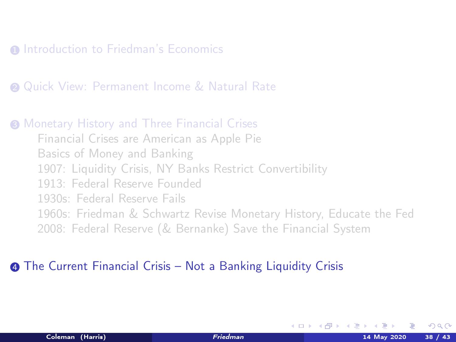#### <span id="page-42-0"></span>**1** [Introduction to Friedman's Economics](#page-3-0)

**2** [Quick View: Permanent Income & Natural Rate](#page-10-0)

**3 [Monetary History and Three Financial Crises](#page-13-0)** [Financial Crises are American as Apple Pie](#page-13-0) [Basics of Money and Banking](#page-18-0) [1907: Liquidity Crisis, NY Banks Restrict Convertibility](#page-23-0) [1913: Federal Reserve Founded](#page-29-0) [1930s: Federal Reserve Fails](#page-31-0) [1960s: Friedman & Schwartz Revise Monetary History, Educate the Fed](#page-35-0) [2008: Federal Reserve \(& Bernanke\) Save the Financial System](#page-38-0)

#### **4** [The Current Financial Crisis – Not a Banking Liquidity Crisis](#page-42-0)

K ロ ▶ K 何 ▶ K 手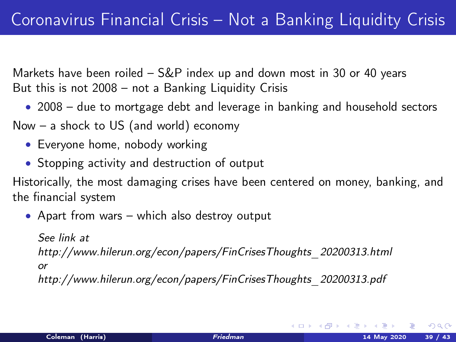Markets have been roiled – S&P index up and down most in 30 or 40 years But this is not 2008 – not a Banking Liquidity Crisis

• 2008 – due to mortgage debt and leverage in banking and household sectors

Now – a shock to US (and world) economy

- Everyone home, nobody working
- Stopping activity and destruction of output

Historically, the most damaging crises have been centered on money, banking, and the financial system

• Apart from wars – which also destroy output

See link at

[http://www.hilerun.org/econ/papers/FinCrisesThoughts\\_20200313.html](http://www.hilerun.org/econ/papers/FinCrisesThoughts_20200313.html)

or

[http://www.hilerun.org/econ/papers/FinCrisesThoughts\\_20200313.pdf](http://www.hilerun.org/econ/papers/FinCrisesThoughts_20200313.pdf)

 $\Omega$ 

メロメ メ都 メメ ミメ メ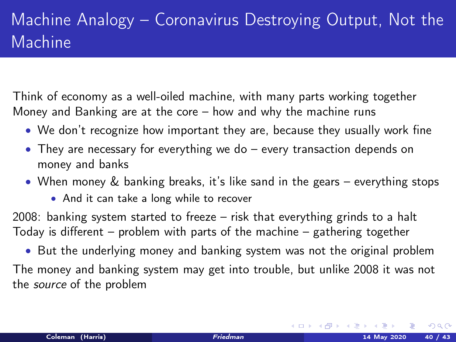## Machine Analogy – Coronavirus Destroying Output, Not the Machine

Think of economy as a well-oiled machine, with many parts working together Money and Banking are at the core – how and why the machine runs

- We don't recognize how important they are, because they usually work fine
- They are necessary for everything we do every transaction depends on money and banks
- When money & banking breaks, it's like sand in the gears everything stops
	- And it can take a long while to recover

2008: banking system started to freeze – risk that everything grinds to a halt Today is different – problem with parts of the machine – gathering together

• But the underlying money and banking system was not the original problem The money and banking system may get into trouble, but unlike 2008 it was not the source of the problem

 $\Omega$ 

**K ロ ト K 倒 ト K 差 ト K**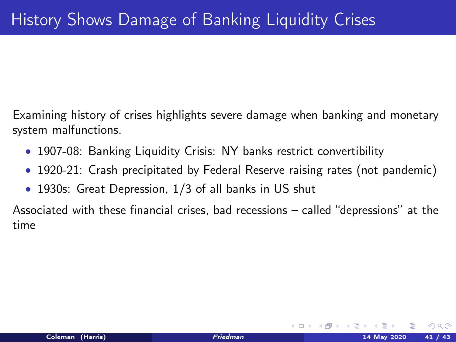Examining history of crises highlights severe damage when banking and monetary system malfunctions.

- 1907-08: Banking Liquidity Crisis: NY banks restrict convertibility
- 1920-21: Crash precipitated by Federal Reserve raising rates (not pandemic)
- 1930s: Great Depression, 1/3 of all banks in US shut

Associated with these financial crises, bad recessions – called "depressions" at the time

K ロ ▶ K 何 ▶ K 급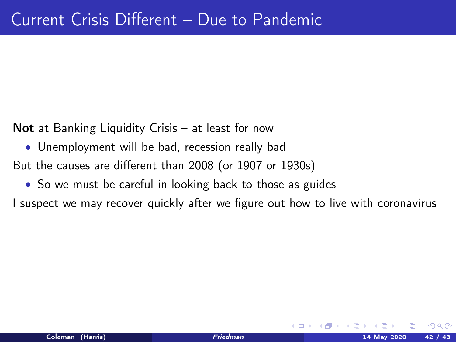Not at Banking Liquidity Crisis - at least for now

• Unemployment will be bad, recession really bad

But the causes are different than 2008 (or 1907 or 1930s)

• So we must be careful in looking back to those as guides

I suspect we may recover quickly after we figure out how to live with coronavirus

4 0 8 4

റെ